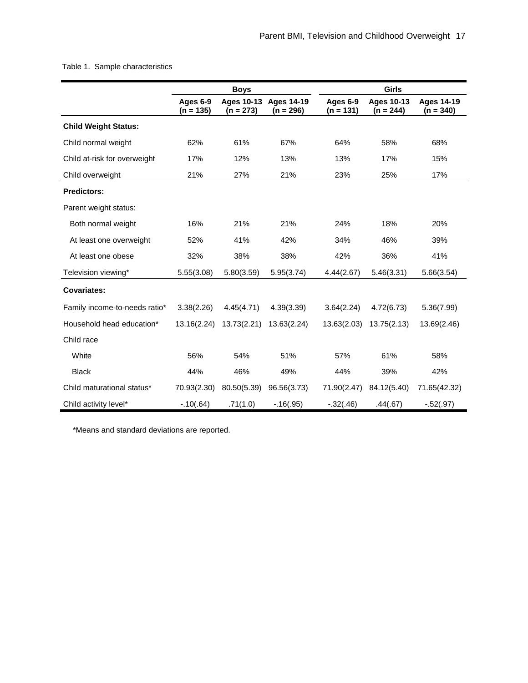## Table 1. Sample characteristics

|                               | <b>Boys</b>             |             |                                      | Girls                   |                                  |                                  |  |
|-------------------------------|-------------------------|-------------|--------------------------------------|-------------------------|----------------------------------|----------------------------------|--|
|                               | Ages 6-9<br>$(n = 135)$ | $(n = 273)$ | Ages 10-13 Ages 14-19<br>$(n = 296)$ | Ages 6-9<br>$(n = 131)$ | <b>Ages 10-13</b><br>$(n = 244)$ | <b>Ages 14-19</b><br>$(n = 340)$ |  |
| <b>Child Weight Status:</b>   |                         |             |                                      |                         |                                  |                                  |  |
| Child normal weight           | 62%                     | 61%         | 67%                                  | 64%                     | 58%                              | 68%                              |  |
| Child at-risk for overweight  | 17%                     | 12%         | 13%                                  | 13%                     | 17%                              | 15%                              |  |
| Child overweight              | 21%                     | 27%         | 21%                                  | 23%                     | 25%                              | 17%                              |  |
| <b>Predictors:</b>            |                         |             |                                      |                         |                                  |                                  |  |
| Parent weight status:         |                         |             |                                      |                         |                                  |                                  |  |
| Both normal weight            | 16%                     | 21%         | 21%                                  | 24%                     | 18%                              | 20%                              |  |
| At least one overweight       | 52%                     | 41%         | 42%                                  | 34%                     | 46%                              | 39%                              |  |
| At least one obese            | 32%                     | 38%         | 38%                                  | 42%                     | 36%                              | 41%                              |  |
| Television viewing*           | 5.55(3.08)              | 5.80(3.59)  | 5.95(3.74)                           | 4.44(2.67)              | 5.46(3.31)                       | 5.66(3.54)                       |  |
| <b>Covariates:</b>            |                         |             |                                      |                         |                                  |                                  |  |
| Family income-to-needs ratio* | 3.38(2.26)              | 4.45(4.71)  | 4.39(3.39)                           | 3.64(2.24)              | 4.72(6.73)                       | 5.36(7.99)                       |  |
| Household head education*     | 13.16(2.24)             | 13.73(2.21) | 13.63(2.24)                          | 13.63(2.03)             | 13.75(2.13)                      | 13.69(2.46)                      |  |
| Child race                    |                         |             |                                      |                         |                                  |                                  |  |
| White                         | 56%                     | 54%         | 51%                                  | 57%                     | 61%                              | 58%                              |  |
| <b>Black</b>                  | 44%                     | 46%         | 49%                                  | 44%                     | 39%                              | 42%                              |  |
| Child maturational status*    | 70.93(2.30)             | 80.50(5.39) | 96.56(3.73)                          | 71.90(2.47)             | 84.12(5.40)                      | 71.65(42.32)                     |  |
| Child activity level*         | $-.10(.64)$             | .71(1.0)    | $-.16(.95)$                          | $-.32(.46)$             | .44(.67)                         | $-.52(.97)$                      |  |

\*Means and standard deviations are reported.